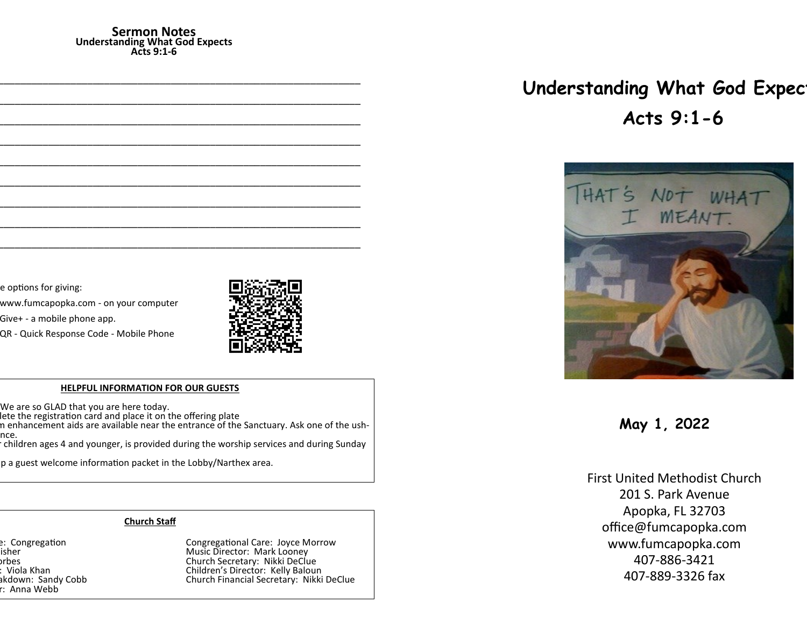#### **Sermon Notes Understanding What God Expects Acts 9:1-6**

e options for giving:

www.fumcapopka.com - on your computer

Give+ - a mobile phone app.

QR - Quick Response Code - Mobile Phone



#### **HELPFUL INFORMATION FOR OUR GUESTS**

We are so GLAD that you are here today.

lete the registration card and place it on the offering plate

n enhancement aids are available near the entrance of the Sanctuary. Ask one of the ushnce.

......<br>children ages 4 and younger, is provided during the worship services and during Sunday

p a guest welcome information packet in the Lobby/Narthex area.

## **Church Staff**

r: Anna Webb

e: Congregation at Largestian Congregational Care: Joyce Morrow Pastor: John G. Fisher Music Director: Mark Looney orbes Church Secretary: Nikki DeClue<br>Children's Director: Kelly Baloui (Children's Director: Kelly Baloui ) Nursery Workers: Viola Khan Children's Director: Kelly Baloun akdown: Sandy Cobb **Church Financial Secretary: Nikki DeClue** 

# **Understanding What God Expect Acts 9:1-6**



**May 1, 2022**

First United Methodist Church 201 S. Park Avenue Apopka, FL 32703 office@fumcapopka.com www.fumcapopka.com 407-886-3421 407-889-3326 fax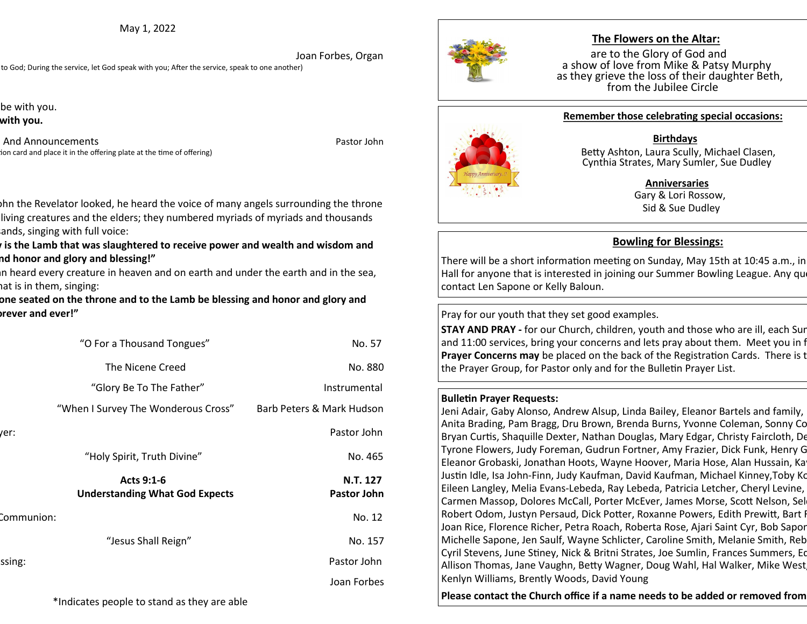May 1, 2022

 Joan Forbes, Organ to God; During the service, let God speak with you; After the service, speak to one another)

be with you. with you.

And Announcements **And Announcements Pastor John** ion card and place it in the offering plate at the time of offering)



# **The Flowers on the Altar:**

are to the Glory of God and a show of love from Mike & Patsy Murphy as they grieve the loss of their daughter Beth, from the Jubilee Circle



#### **Remember those celebrating special occasions:**

#### **Birthdays**

 Betty Ashton, Laura Scully, Michael Clasen, Cynthia Strates, Mary Sumler, Sue Dudley

#### **Anniversaries**

 Gary & Lori Rossow, Sid & Sue Dudley

# **Bowling for Blessings:**

There will be a short information meeting on Sunday, May 15th at 10:45 a.m., in Hall for anyone that is interested in joining our Summer Bowling League. Any questions, please our contact Len Sapone or Kelly Baloun.

Pray for our youth that they set good examples.

**STAY AND PRAY -** for our Church, children, youth and those who are ill, each Sur and 11:00 services, bring your concerns and lets pray about them. Meet you in f **Prayer Concerns may** be placed on the back of the Registration Cards. There is the Prayer and Prayer and Prayer Brayer Formation Cards. the Prayer Group, for Pastor only and for the Bulletin Prayer List.

## **Bulletin Prayer Requests:**

Jeni Adair, Gaby Alonso, Andrew Alsup, Linda Bailey, Eleanor Bartels and family, Anita Brading, Pam Bragg, Dru Brown, Brenda Burns, Yvonne Coleman, Sonny Co Bryan Curtis, Shaquille Dexter, Nathan Douglas, Mary Edgar, Christy Faircloth, De Tyrone Flowers, Judy Foreman, Gudrun Fortner, Amy Frazier, Dick Funk, Henry G Eleanor Grobaski, Jonathan Hoots, Wayne Hoover, Maria Hose, Alan Hussain, Ka Justin Idle, Isa John-Finn, Judy Kaufman, David Kaufman, Michael Kinney,Toby Ko Eileen Langley, Melia Evans-Lebeda, Ray Lebeda, Patricia Letcher, Cheryl Levine, Carmen Massop, Dolores McCall, Porter McEver, James Morse, Scott Nelson, Sel Robert Odom, Justyn Persaud, Dick Potter, Roxanne Powers, Edith Prewitt, Bart I Joan Rice, Florence Richer, Petra Roach, Roberta Rose, Ajari Saint Cyr, Bob Sapor Michelle Sapone, Jen Saulf, Wayne Schlicter, Caroline Smith, Melanie Smith, Reb Cyril Stevens, June Stiney, Nick & Britni Strates, Joe Sumlin, Frances Summers, Eq Allison Thomas, Jane Vaughn, Betty Wagner, Doug Wahl, Hal Walker, Mike West Kenlyn Williams, Brently Woods, David Young

Please contact the Church office if a name needs to be added or removed from

bhn the Revelator looked, he heard the voice of many angels surrounding the throne living creatures and the elders; they numbered myriads of myriads and thousands ands, singing with full voice:

**Pis the Lamb that was slaughtered to receive power and wealth and wisdom and might and honor and glory and blessing!"**

In heard every creature in heaven and on earth and under the earth and in the sea, at is in them, singing:

one seated on the throne and to the Lamb be blessing and honor and glory and **might forever and ever!"**

|            | "O For a Thousand Tongues"                          | No. 57                    |
|------------|-----------------------------------------------------|---------------------------|
|            | The Nicene Creed                                    | No. 880                   |
|            | "Glory Be To The Father"                            | Instrumental              |
|            | "When I Survey The Wonderous Cross"                 | Barb Peters & Mark Hudson |
| er:        |                                                     | Pastor John               |
|            | "Holy Spirit, Truth Divine"                         | No. 465                   |
|            | Acts 9:1-6<br><b>Understanding What God Expects</b> | N.T. 127<br>Pastor John   |
| Communion: |                                                     | No. 12                    |
|            | "Jesus Shall Reign"                                 | No. 157                   |
| ssing:     |                                                     | Pastor John               |
|            |                                                     | Joan Forbes               |
|            | *Indicates people to stand as they are able         |                           |